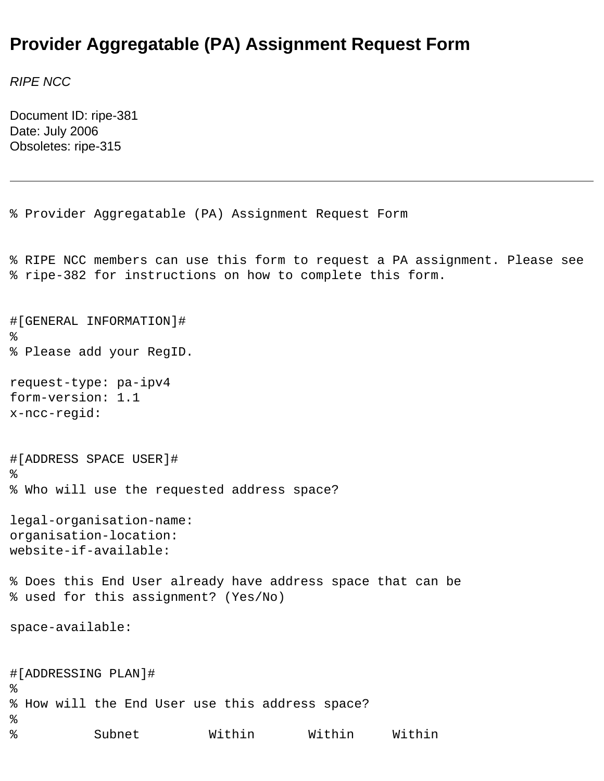## **Provider Aggregatable (PA) Assignment Request Form**

*RIPE NCC* 

Document ID: ripe-381 Date: July 2006 Obsoletes: ripe-315

```
% Provider Aggregatable (PA) Assignment Request Form
% RIPE NCC members can use this form to request a PA assignment. Please see 
% ripe-382 for instructions on how to complete this form.
#[GENERAL INFORMATION]#
%
% Please add your RegID.
request-type: pa-ipv4
form-version: 1.1
x-ncc-regid: 
#[ADDRESS SPACE USER]#
\epsilon% Who will use the requested address space?
legal-organisation-name: 
organisation-location: 
website-if-available: 
% Does this End User already have address space that can be
% used for this assignment? (Yes/No)
space-available: 
#[ADDRESSING PLAN]#
%
% How will the End User use this address space?
%
% Subnet Within Within Within
```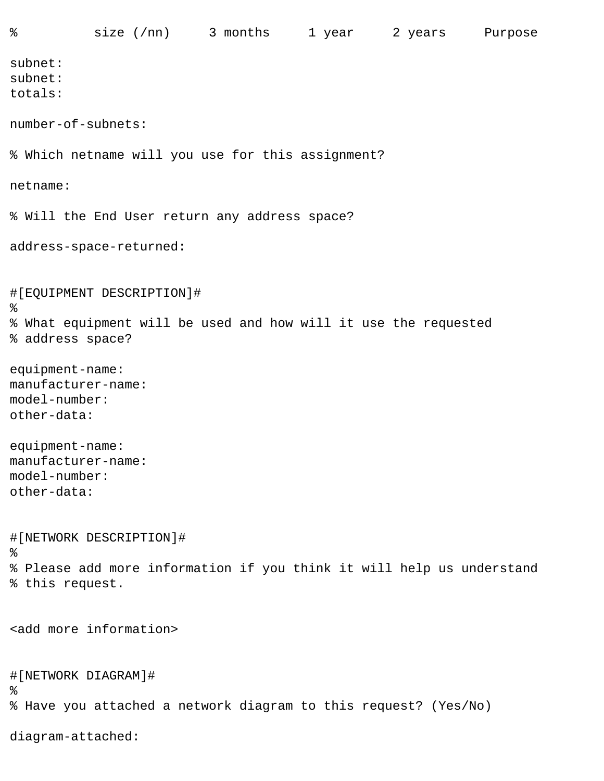subnet: subnet: totals: number-of-subnets: % Which netname will you use for this assignment? netname: % Will the End User return any address space? address-space-returned: #[EQUIPMENT DESCRIPTION]#  $\,$ % What equipment will be used and how will it use the requested % address space? equipment-name: manufacturer-name: model-number: other-data: equipment-name: manufacturer-name: model-number: other-data: #[NETWORK DESCRIPTION]#  $\frac{8}{6}$ % Please add more information if you think it will help us understand % this request. <add more information> #[NETWORK DIAGRAM]#  $\epsilon$ % Have you attached a network diagram to this request? (Yes/No)

diagram-attached: